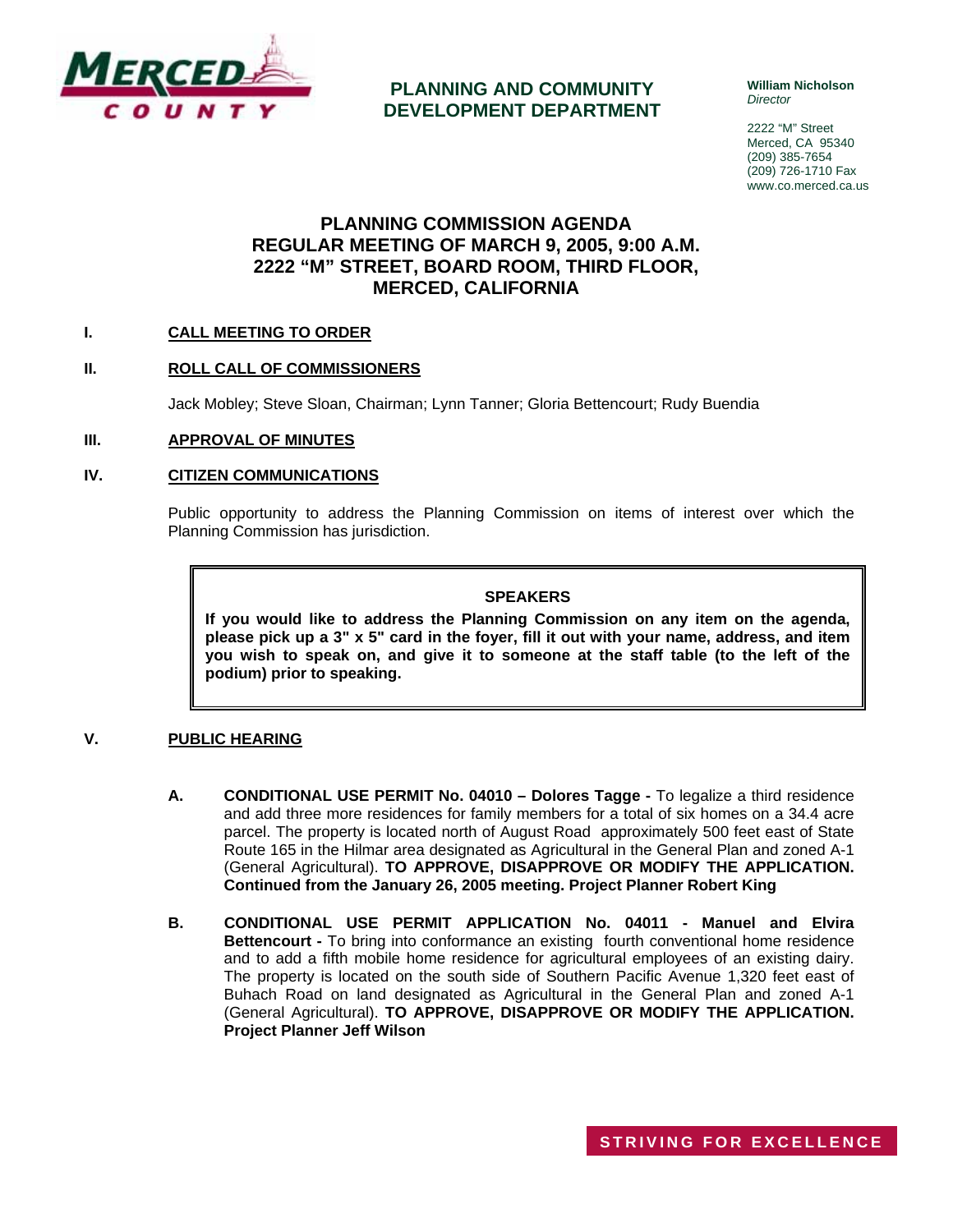

**PLANNING AND COMMUNITY DEVELOPMENT DEPARTMENT** **William Nicholson**  *Director* 

2222 "M" Street Merced, CA 95340 (209) 385-7654 (209) 726-1710 Fax www.co.merced.ca.us

## **PLANNING COMMISSION AGENDA REGULAR MEETING OF MARCH 9, 2005, 9:00 A.M. 2222 "M" STREET, BOARD ROOM, THIRD FLOOR, MERCED, CALIFORNIA**

#### **I. CALL MEETING TO ORDER**

#### **II. ROLL CALL OF COMMISSIONERS**

Jack Mobley; Steve Sloan, Chairman; Lynn Tanner; Gloria Bettencourt; Rudy Buendia

#### **III. APPROVAL OF MINUTES**

#### **IV. CITIZEN COMMUNICATIONS**

Public opportunity to address the Planning Commission on items of interest over which the Planning Commission has jurisdiction.

#### **SPEAKERS**

**If you would like to address the Planning Commission on any item on the agenda, please pick up a 3" x 5" card in the foyer, fill it out with your name, address, and item you wish to speak on, and give it to someone at the staff table (to the left of the podium) prior to speaking.**

#### **V. PUBLIC HEARING**

- **A. CONDITIONAL USE PERMIT No. 04010 Dolores Tagge** To legalize a third residence and add three more residences for family members for a total of six homes on a 34.4 acre parcel. The property is located north of August Road approximately 500 feet east of State Route 165 in the Hilmar area designated as Agricultural in the General Plan and zoned A-1 (General Agricultural). **TO APPROVE, DISAPPROVE OR MODIFY THE APPLICATION. Continued from the January 26, 2005 meeting. Project Planner Robert King**
- **B. CONDITIONAL USE PERMIT APPLICATION No. 04011 Manuel and Elvira Bettencourt -** To bring into conformance an existing fourth conventional home residence and to add a fifth mobile home residence for agricultural employees of an existing dairy. The property is located on the south side of Southern Pacific Avenue 1,320 feet east of Buhach Road on land designated as Agricultural in the General Plan and zoned A-1 (General Agricultural). **TO APPROVE, DISAPPROVE OR MODIFY THE APPLICATION. Project Planner Jeff Wilson**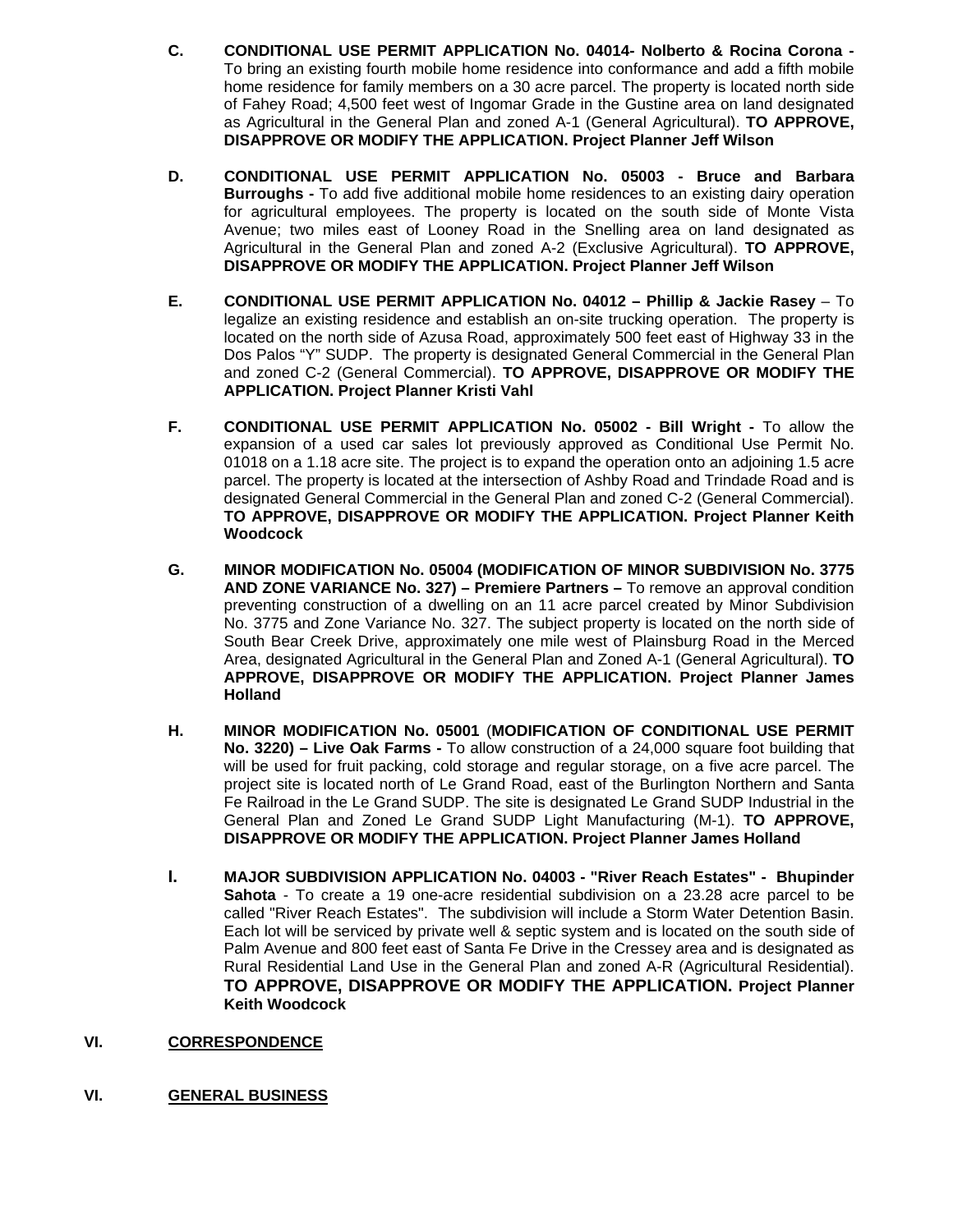- **C. CONDITIONAL USE PERMIT APPLICATION No. 04014- Nolberto & Rocina Corona**  To bring an existing fourth mobile home residence into conformance and add a fifth mobile home residence for family members on a 30 acre parcel. The property is located north side of Fahey Road; 4,500 feet west of Ingomar Grade in the Gustine area on land designated as Agricultural in the General Plan and zoned A-1 (General Agricultural). **TO APPROVE, DISAPPROVE OR MODIFY THE APPLICATION. Project Planner Jeff Wilson**
- **D. CONDITIONAL USE PERMIT APPLICATION No. 05003 Bruce and Barbara Burroughs -** To add five additional mobile home residences to an existing dairy operation for agricultural employees. The property is located on the south side of Monte Vista Avenue; two miles east of Looney Road in the Snelling area on land designated as Agricultural in the General Plan and zoned A-2 (Exclusive Agricultural). **TO APPROVE, DISAPPROVE OR MODIFY THE APPLICATION. Project Planner Jeff Wilson**
- **E. CONDITIONAL USE PERMIT APPLICATION No. 04012 Phillip & Jackie Rasey** To legalize an existing residence and establish an on-site trucking operation. The property is located on the north side of Azusa Road, approximately 500 feet east of Highway 33 in the Dos Palos "Y" SUDP. The property is designated General Commercial in the General Plan and zoned C-2 (General Commercial). **TO APPROVE, DISAPPROVE OR MODIFY THE APPLICATION. Project Planner Kristi Vahl**
- **F. CONDITIONAL USE PERMIT APPLICATION No. 05002 Bill Wright -** To allow the expansion of a used car sales lot previously approved as Conditional Use Permit No. 01018 on a 1.18 acre site. The project is to expand the operation onto an adjoining 1.5 acre parcel. The property is located at the intersection of Ashby Road and Trindade Road and is designated General Commercial in the General Plan and zoned C-2 (General Commercial). **TO APPROVE, DISAPPROVE OR MODIFY THE APPLICATION. Project Planner Keith Woodcock**
- **G. MINOR MODIFICATION No. 05004 (MODIFICATION OF MINOR SUBDIVISION No. 3775 AND ZONE VARIANCE No. 327) – Premiere Partners –** To remove an approval condition preventing construction of a dwelling on an 11 acre parcel created by Minor Subdivision No. 3775 and Zone Variance No. 327. The subject property is located on the north side of South Bear Creek Drive, approximately one mile west of Plainsburg Road in the Merced Area, designated Agricultural in the General Plan and Zoned A-1 (General Agricultural). **TO APPROVE, DISAPPROVE OR MODIFY THE APPLICATION. Project Planner James Holland**
- **H. MINOR MODIFICATION No. 05001** (**MODIFICATION OF CONDITIONAL USE PERMIT No. 3220) – Live Oak Farms -** To allow construction of a 24,000 square foot building that will be used for fruit packing, cold storage and regular storage, on a five acre parcel. The project site is located north of Le Grand Road, east of the Burlington Northern and Santa Fe Railroad in the Le Grand SUDP. The site is designated Le Grand SUDP Industrial in the General Plan and Zoned Le Grand SUDP Light Manufacturing (M-1). **TO APPROVE, DISAPPROVE OR MODIFY THE APPLICATION. Project Planner James Holland**
- **I. MAJOR SUBDIVISION APPLICATION No. 04003 "River Reach Estates" Bhupinder Sahota** - To create a 19 one-acre residential subdivision on a 23.28 acre parcel to be called "River Reach Estates". The subdivision will include a Storm Water Detention Basin. Each lot will be serviced by private well & septic system and is located on the south side of Palm Avenue and 800 feet east of Santa Fe Drive in the Cressey area and is designated as Rural Residential Land Use in the General Plan and zoned A-R (Agricultural Residential). **TO APPROVE, DISAPPROVE OR MODIFY THE APPLICATION. Project Planner Keith Woodcock**
- **VI. CORRESPONDENCE**
- **VI. GENERAL BUSINESS**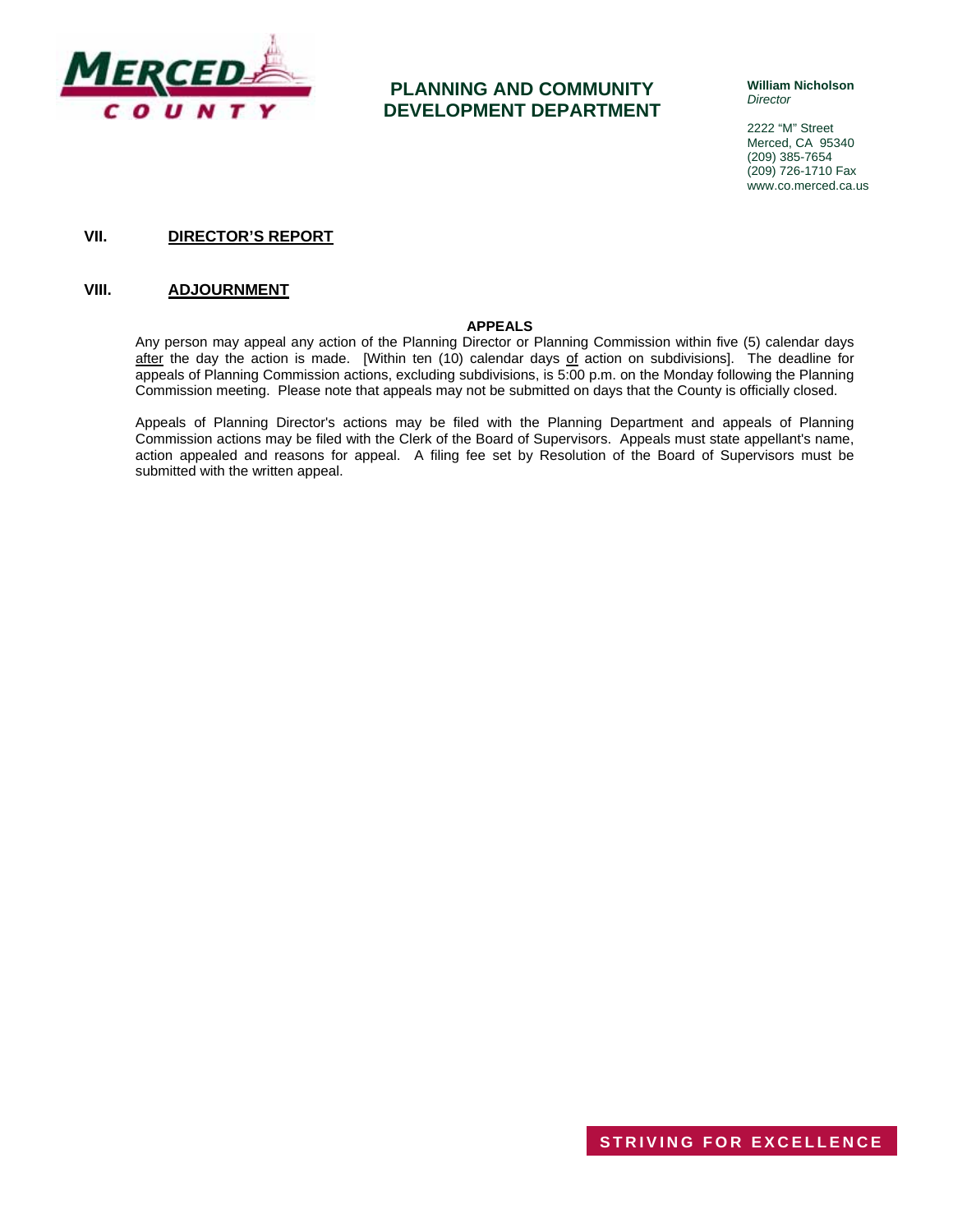

## **PLANNING AND COMMUNITY DEVELOPMENT DEPARTMENT**

**William Nicholson**  *Director* 

2222 "M" Street Merced, CA 95340 (209) 385-7654 (209) 726-1710 Fax www.co.merced.ca.us

#### **VII. DIRECTOR'S REPORT**

#### **VIII. ADJOURNMENT**

#### **APPEALS**

Any person may appeal any action of the Planning Director or Planning Commission within five (5) calendar days after the day the action is made. [Within ten (10) calendar days of action on subdivisions]. The deadline for appeals of Planning Commission actions, excluding subdivisions, is 5:00 p.m. on the Monday following the Planning Commission meeting. Please note that appeals may not be submitted on days that the County is officially closed.

Appeals of Planning Director's actions may be filed with the Planning Department and appeals of Planning Commission actions may be filed with the Clerk of the Board of Supervisors. Appeals must state appellant's name, action appealed and reasons for appeal. A filing fee set by Resolution of the Board of Supervisors must be submitted with the written appeal.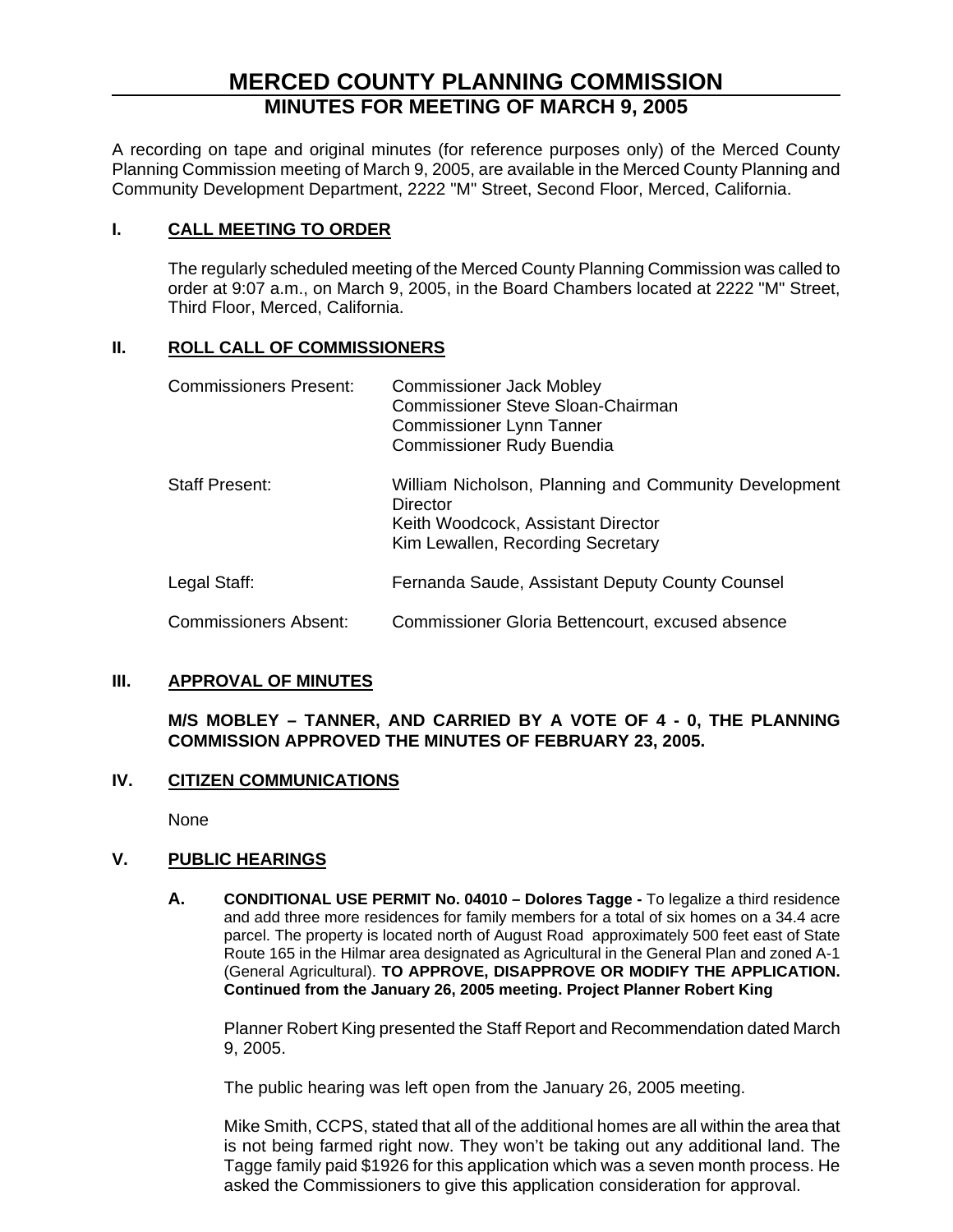# **MERCED COUNTY PLANNING COMMISSION MINUTES FOR MEETING OF MARCH 9, 2005**

A recording on tape and original minutes (for reference purposes only) of the Merced County Planning Commission meeting of March 9, 2005, are available in the Merced County Planning and Community Development Department, 2222 "M" Street, Second Floor, Merced, California.

## **I. CALL MEETING TO ORDER**

The regularly scheduled meeting of the Merced County Planning Commission was called to order at 9:07 a.m., on March 9, 2005, in the Board Chambers located at 2222 "M" Street, Third Floor, Merced, California.

### **II. ROLL CALL OF COMMISSIONERS**

| <b>Commissioners Present:</b> | <b>Commissioner Jack Mobley</b><br>Commissioner Steve Sloan-Chairman<br><b>Commissioner Lynn Tanner</b><br><b>Commissioner Rudy Buendia</b>  |
|-------------------------------|----------------------------------------------------------------------------------------------------------------------------------------------|
| <b>Staff Present:</b>         | William Nicholson, Planning and Community Development<br>Director<br>Keith Woodcock, Assistant Director<br>Kim Lewallen, Recording Secretary |
| Legal Staff:                  | Fernanda Saude, Assistant Deputy County Counsel                                                                                              |
| <b>Commissioners Absent:</b>  | Commissioner Gloria Bettencourt, excused absence                                                                                             |

#### **III. APPROVAL OF MINUTES**

**M/S MOBLEY – TANNER, AND CARRIED BY A VOTE OF 4 - 0, THE PLANNING COMMISSION APPROVED THE MINUTES OF FEBRUARY 23, 2005.**

### **IV. CITIZEN COMMUNICATIONS**

None

### **V. PUBLIC HEARINGS**

**A. CONDITIONAL USE PERMIT No. 04010 – Dolores Tagge -** To legalize a third residence and add three more residences for family members for a total of six homes on a 34.4 acre parcel. The property is located north of August Road approximately 500 feet east of State Route 165 in the Hilmar area designated as Agricultural in the General Plan and zoned A-1 (General Agricultural). **TO APPROVE, DISAPPROVE OR MODIFY THE APPLICATION. Continued from the January 26, 2005 meeting. Project Planner Robert King**

Planner Robert King presented the Staff Report and Recommendation dated March 9, 2005.

The public hearing was left open from the January 26, 2005 meeting.

Mike Smith, CCPS, stated that all of the additional homes are all within the area that is not being farmed right now. They won't be taking out any additional land. The Tagge family paid \$1926 for this application which was a seven month process. He asked the Commissioners to give this application consideration for approval.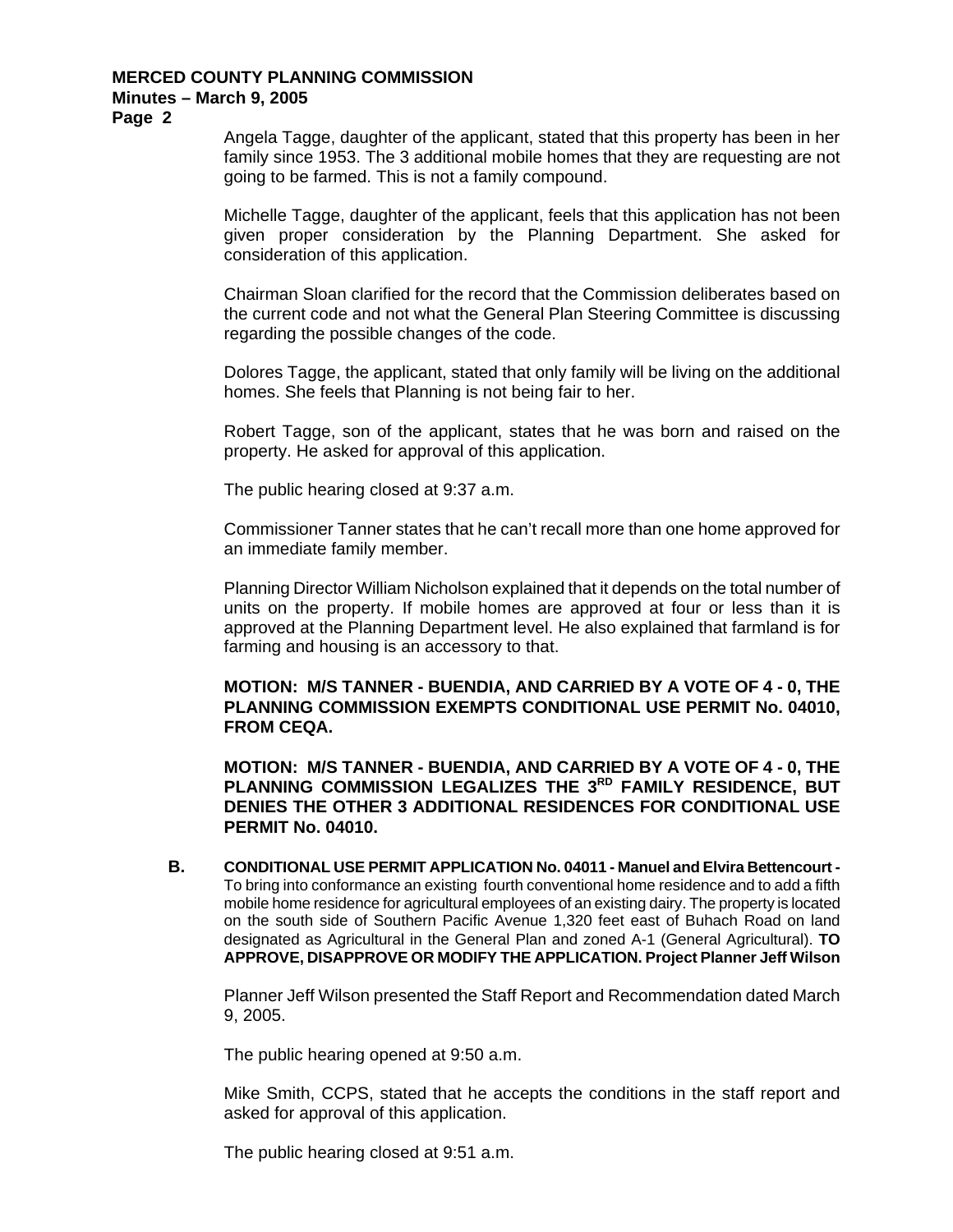**Page 2** 

Angela Tagge, daughter of the applicant, stated that this property has been in her family since 1953. The 3 additional mobile homes that they are requesting are not going to be farmed. This is not a family compound.

Michelle Tagge, daughter of the applicant, feels that this application has not been given proper consideration by the Planning Department. She asked for consideration of this application.

Chairman Sloan clarified for the record that the Commission deliberates based on the current code and not what the General Plan Steering Committee is discussing regarding the possible changes of the code.

Dolores Tagge, the applicant, stated that only family will be living on the additional homes. She feels that Planning is not being fair to her.

Robert Tagge, son of the applicant, states that he was born and raised on the property. He asked for approval of this application.

The public hearing closed at 9:37 a.m.

Commissioner Tanner states that he can't recall more than one home approved for an immediate family member.

Planning Director William Nicholson explained that it depends on the total number of units on the property. If mobile homes are approved at four or less than it is approved at the Planning Department level. He also explained that farmland is for farming and housing is an accessory to that.

**MOTION: M/S TANNER - BUENDIA, AND CARRIED BY A VOTE OF 4 - 0, THE PLANNING COMMISSION EXEMPTS CONDITIONAL USE PERMIT No. 04010, FROM CEQA.** 

**MOTION: M/S TANNER - BUENDIA, AND CARRIED BY A VOTE OF 4 - 0, THE**  PLANNING COMMISSION LEGALIZES THE 3<sup>RD</sup> FAMILY RESIDENCE, BUT **DENIES THE OTHER 3 ADDITIONAL RESIDENCES FOR CONDITIONAL USE PERMIT No. 04010.**

**B. CONDITIONAL USE PERMIT APPLICATION No. 04011 - Manuel and Elvira Bettencourt -**  To bring into conformance an existing fourth conventional home residence and to add a fifth mobile home residence for agricultural employees of an existing dairy. The property is located on the south side of Southern Pacific Avenue 1,320 feet east of Buhach Road on land designated as Agricultural in the General Plan and zoned A-1 (General Agricultural). **TO APPROVE, DISAPPROVE OR MODIFY THE APPLICATION. Project Planner Jeff Wilson**

Planner Jeff Wilson presented the Staff Report and Recommendation dated March 9, 2005.

The public hearing opened at 9:50 a.m.

Mike Smith, CCPS, stated that he accepts the conditions in the staff report and asked for approval of this application.

The public hearing closed at 9:51 a.m.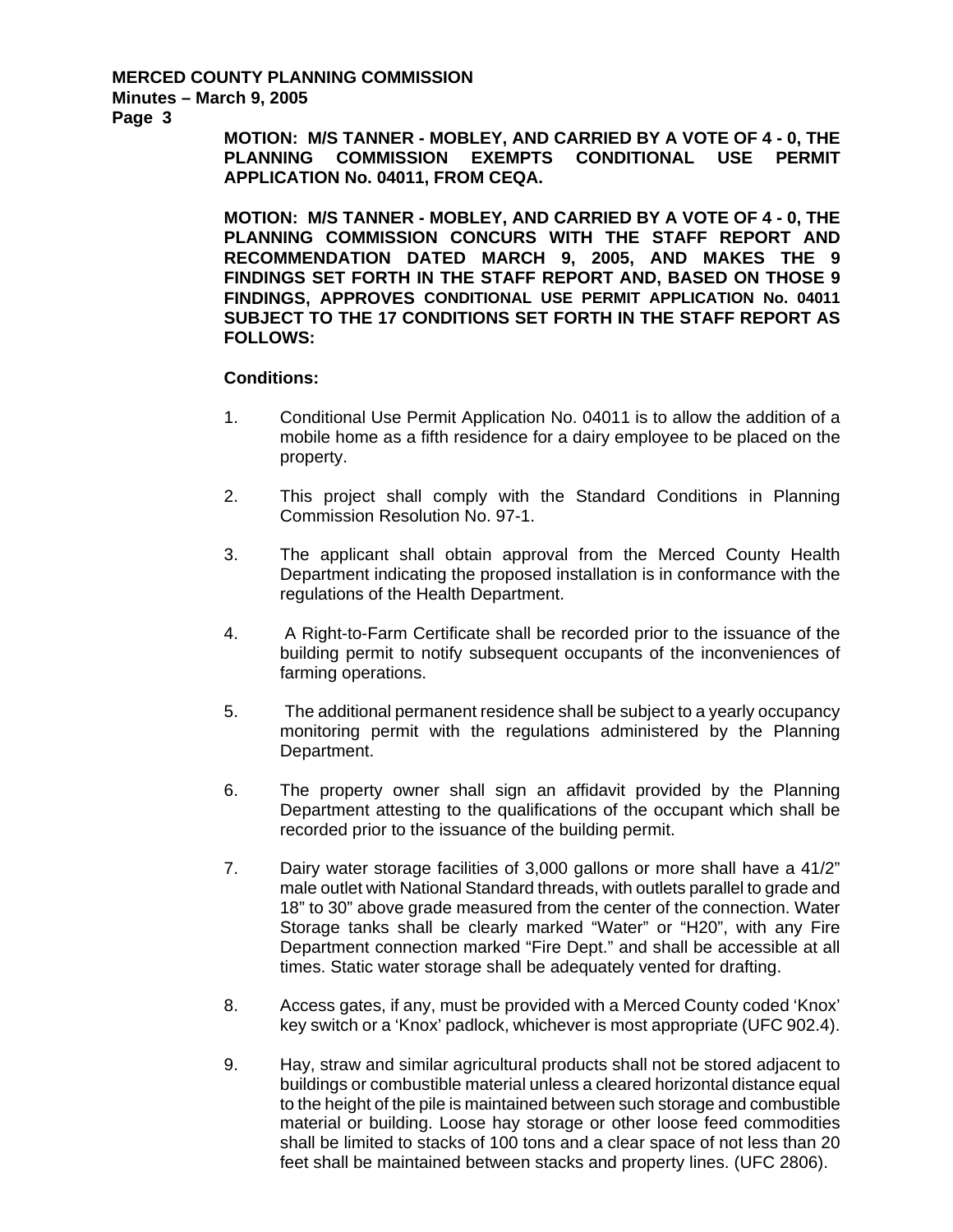**Page 3** 

**MOTION: M/S TANNER - MOBLEY, AND CARRIED BY A VOTE OF 4 - 0, THE PLANNING COMMISSION EXEMPTS CONDITIONAL USE PERMIT APPLICATION No. 04011, FROM CEQA.** 

**MOTION: M/S TANNER - MOBLEY, AND CARRIED BY A VOTE OF 4 - 0, THE PLANNING COMMISSION CONCURS WITH THE STAFF REPORT AND RECOMMENDATION DATED MARCH 9, 2005, AND MAKES THE 9 FINDINGS SET FORTH IN THE STAFF REPORT AND, BASED ON THOSE 9 FINDINGS, APPROVES CONDITIONAL USE PERMIT APPLICATION No. 04011 SUBJECT TO THE 17 CONDITIONS SET FORTH IN THE STAFF REPORT AS FOLLOWS:** 

- 1. Conditional Use Permit Application No. 04011 is to allow the addition of a mobile home as a fifth residence for a dairy employee to be placed on the property.
- 2. This project shall comply with the Standard Conditions in Planning Commission Resolution No. 97-1.
- 3. The applicant shall obtain approval from the Merced County Health Department indicating the proposed installation is in conformance with the regulations of the Health Department.
- 4. A Right-to-Farm Certificate shall be recorded prior to the issuance of the building permit to notify subsequent occupants of the inconveniences of farming operations.
- 5. The additional permanent residence shall be subject to a yearly occupancy monitoring permit with the regulations administered by the Planning Department.
- 6. The property owner shall sign an affidavit provided by the Planning Department attesting to the qualifications of the occupant which shall be recorded prior to the issuance of the building permit.
- 7. Dairy water storage facilities of 3,000 gallons or more shall have a 41/2" male outlet with National Standard threads, with outlets parallel to grade and 18" to 30" above grade measured from the center of the connection. Water Storage tanks shall be clearly marked "Water" or "H20", with any Fire Department connection marked "Fire Dept." and shall be accessible at all times. Static water storage shall be adequately vented for drafting.
- 8. Access gates, if any, must be provided with a Merced County coded 'Knox' key switch or a 'Knox' padlock, whichever is most appropriate (UFC 902.4).
- 9. Hay, straw and similar agricultural products shall not be stored adjacent to buildings or combustible material unless a cleared horizontal distance equal to the height of the pile is maintained between such storage and combustible material or building. Loose hay storage or other loose feed commodities shall be limited to stacks of 100 tons and a clear space of not less than 20 feet shall be maintained between stacks and property lines. (UFC 2806).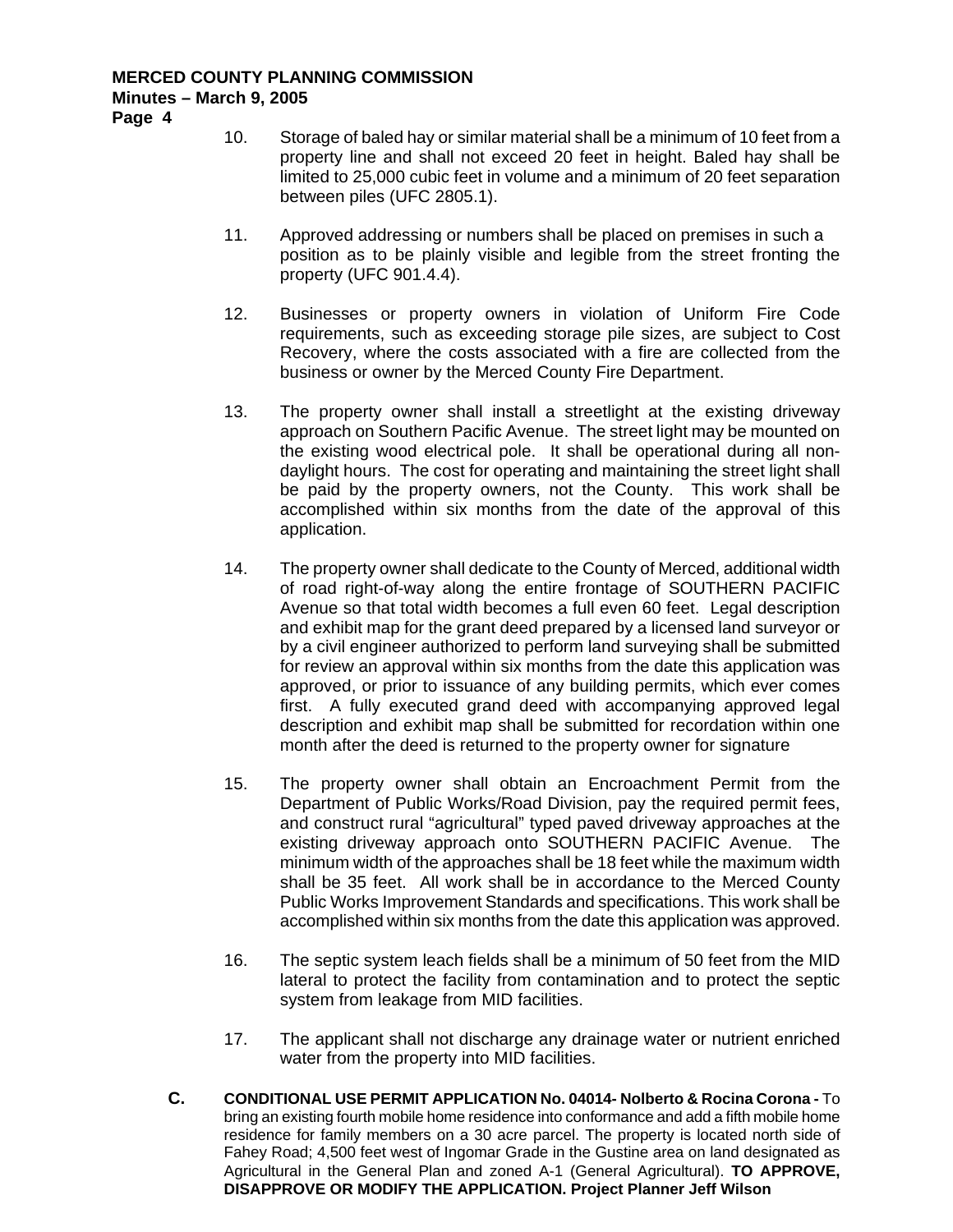**Page 4** 

- 10. Storage of baled hay or similar material shall be a minimum of 10 feet from a property line and shall not exceed 20 feet in height. Baled hay shall be limited to 25,000 cubic feet in volume and a minimum of 20 feet separation between piles (UFC 2805.1).
- 11. Approved addressing or numbers shall be placed on premises in such a position as to be plainly visible and legible from the street fronting the property (UFC 901.4.4).
- 12. Businesses or property owners in violation of Uniform Fire Code requirements, such as exceeding storage pile sizes, are subject to Cost Recovery, where the costs associated with a fire are collected from the business or owner by the Merced County Fire Department.
- 13. The property owner shall install a streetlight at the existing driveway approach on Southern Pacific Avenue. The street light may be mounted on the existing wood electrical pole. It shall be operational during all nondaylight hours. The cost for operating and maintaining the street light shall be paid by the property owners, not the County. This work shall be accomplished within six months from the date of the approval of this application.
- 14. The property owner shall dedicate to the County of Merced, additional width of road right-of-way along the entire frontage of SOUTHERN PACIFIC Avenue so that total width becomes a full even 60 feet. Legal description and exhibit map for the grant deed prepared by a licensed land surveyor or by a civil engineer authorized to perform land surveying shall be submitted for review an approval within six months from the date this application was approved, or prior to issuance of any building permits, which ever comes first. A fully executed grand deed with accompanying approved legal description and exhibit map shall be submitted for recordation within one month after the deed is returned to the property owner for signature
- 15. The property owner shall obtain an Encroachment Permit from the Department of Public Works/Road Division, pay the required permit fees, and construct rural "agricultural" typed paved driveway approaches at the existing driveway approach onto SOUTHERN PACIFIC Avenue. The minimum width of the approaches shall be 18 feet while the maximum width shall be 35 feet. All work shall be in accordance to the Merced County Public Works Improvement Standards and specifications. This work shall be accomplished within six months from the date this application was approved.
- 16. The septic system leach fields shall be a minimum of 50 feet from the MID lateral to protect the facility from contamination and to protect the septic system from leakage from MID facilities.
- 17. The applicant shall not discharge any drainage water or nutrient enriched water from the property into MID facilities.
- **C. CONDITIONAL USE PERMIT APPLICATION No. 04014- Nolberto & Rocina Corona** To bring an existing fourth mobile home residence into conformance and add a fifth mobile home residence for family members on a 30 acre parcel. The property is located north side of Fahey Road; 4,500 feet west of Ingomar Grade in the Gustine area on land designated as Agricultural in the General Plan and zoned A-1 (General Agricultural). **TO APPROVE, DISAPPROVE OR MODIFY THE APPLICATION. Project Planner Jeff Wilson**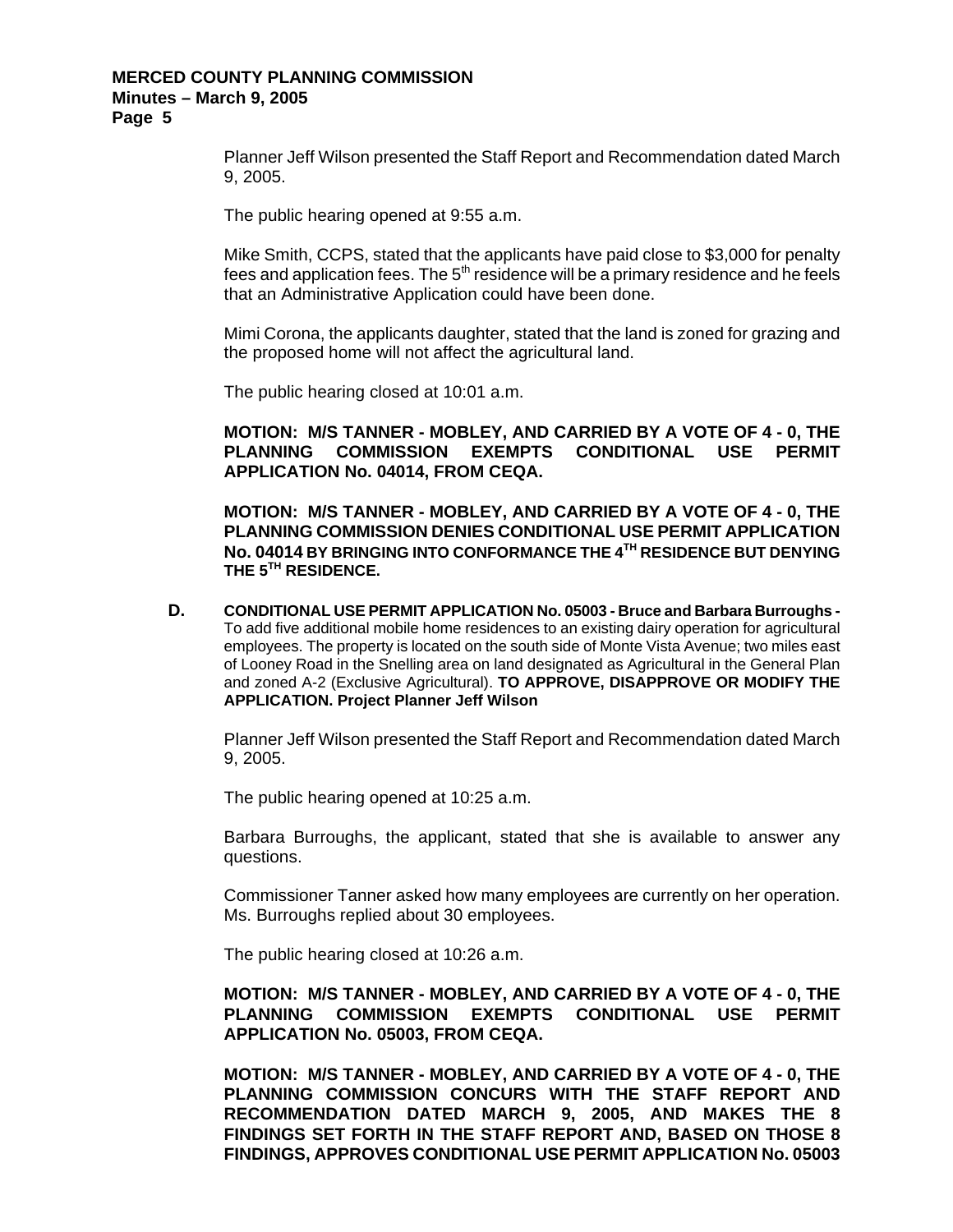Planner Jeff Wilson presented the Staff Report and Recommendation dated March 9, 2005.

The public hearing opened at 9:55 a.m.

Mike Smith, CCPS, stated that the applicants have paid close to \$3,000 for penalty fees and application fees. The  $5<sup>th</sup>$  residence will be a primary residence and he feels that an Administrative Application could have been done.

Mimi Corona, the applicants daughter, stated that the land is zoned for grazing and the proposed home will not affect the agricultural land.

The public hearing closed at 10:01 a.m.

**MOTION: M/S TANNER - MOBLEY, AND CARRIED BY A VOTE OF 4 - 0, THE PLANNING COMMISSION EXEMPTS CONDITIONAL USE PERMIT APPLICATION No. 04014, FROM CEQA.** 

**MOTION: M/S TANNER - MOBLEY, AND CARRIED BY A VOTE OF 4 - 0, THE PLANNING COMMISSION DENIES CONDITIONAL USE PERMIT APPLICATION No. 04014 BY BRINGING INTO CONFORMANCE THE 4TH RESIDENCE BUT DENYING THE 5TH RESIDENCE.** 

**D. CONDITIONAL USE PERMIT APPLICATION No. 05003 - Bruce and Barbara Burroughs -**  To add five additional mobile home residences to an existing dairy operation for agricultural employees. The property is located on the south side of Monte Vista Avenue; two miles east of Looney Road in the Snelling area on land designated as Agricultural in the General Plan and zoned A-2 (Exclusive Agricultural). **TO APPROVE, DISAPPROVE OR MODIFY THE APPLICATION. Project Planner Jeff Wilson**

Planner Jeff Wilson presented the Staff Report and Recommendation dated March 9, 2005.

The public hearing opened at 10:25 a.m.

Barbara Burroughs, the applicant, stated that she is available to answer any questions.

Commissioner Tanner asked how many employees are currently on her operation. Ms. Burroughs replied about 30 employees.

The public hearing closed at 10:26 a.m.

**MOTION: M/S TANNER - MOBLEY, AND CARRIED BY A VOTE OF 4 - 0, THE PLANNING COMMISSION EXEMPTS CONDITIONAL USE PERMIT APPLICATION No. 05003, FROM CEQA.** 

**MOTION: M/S TANNER - MOBLEY, AND CARRIED BY A VOTE OF 4 - 0, THE PLANNING COMMISSION CONCURS WITH THE STAFF REPORT AND RECOMMENDATION DATED MARCH 9, 2005, AND MAKES THE 8 FINDINGS SET FORTH IN THE STAFF REPORT AND, BASED ON THOSE 8 FINDINGS, APPROVES CONDITIONAL USE PERMIT APPLICATION No. 05003**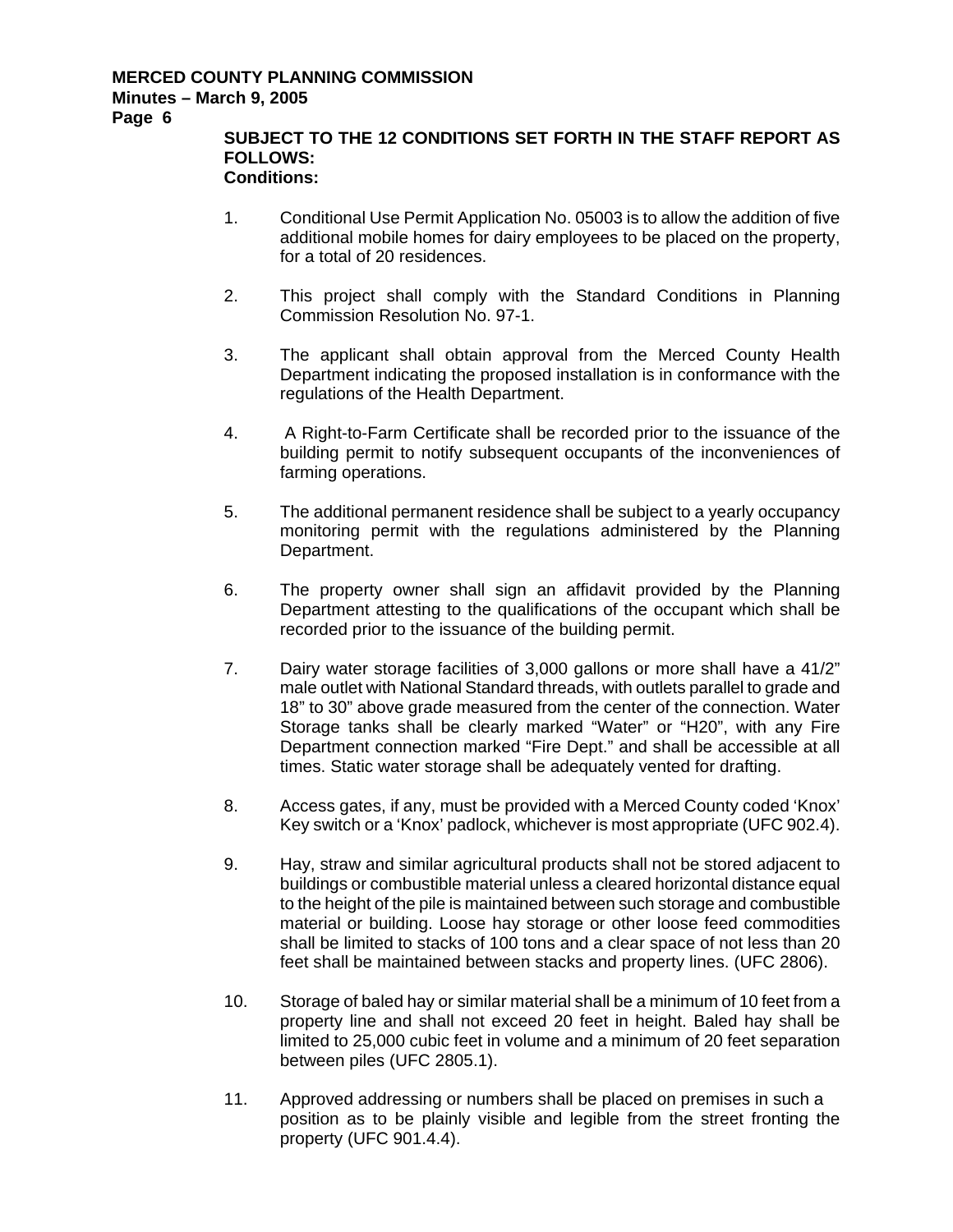**Page 6** 

# **SUBJECT TO THE 12 CONDITIONS SET FORTH IN THE STAFF REPORT AS FOLLOWS:**

- 1. Conditional Use Permit Application No. 05003 is to allow the addition of five additional mobile homes for dairy employees to be placed on the property, for a total of 20 residences.
- 2. This project shall comply with the Standard Conditions in Planning Commission Resolution No. 97-1.
- 3. The applicant shall obtain approval from the Merced County Health Department indicating the proposed installation is in conformance with the regulations of the Health Department.
- 4. A Right-to-Farm Certificate shall be recorded prior to the issuance of the building permit to notify subsequent occupants of the inconveniences of farming operations.
- 5. The additional permanent residence shall be subject to a yearly occupancy monitoring permit with the regulations administered by the Planning Department.
- 6. The property owner shall sign an affidavit provided by the Planning Department attesting to the qualifications of the occupant which shall be recorded prior to the issuance of the building permit.
- 7. Dairy water storage facilities of 3,000 gallons or more shall have a 41/2" male outlet with National Standard threads, with outlets parallel to grade and 18" to 30" above grade measured from the center of the connection. Water Storage tanks shall be clearly marked "Water" or "H20", with any Fire Department connection marked "Fire Dept." and shall be accessible at all times. Static water storage shall be adequately vented for drafting.
- 8. Access gates, if any, must be provided with a Merced County coded 'Knox' Key switch or a 'Knox' padlock, whichever is most appropriate (UFC 902.4).
- 9. Hay, straw and similar agricultural products shall not be stored adjacent to buildings or combustible material unless a cleared horizontal distance equal to the height of the pile is maintained between such storage and combustible material or building. Loose hay storage or other loose feed commodities shall be limited to stacks of 100 tons and a clear space of not less than 20 feet shall be maintained between stacks and property lines. (UFC 2806).
- 10. Storage of baled hay or similar material shall be a minimum of 10 feet from a property line and shall not exceed 20 feet in height. Baled hay shall be limited to 25,000 cubic feet in volume and a minimum of 20 feet separation between piles (UFC 2805.1).
- 11. Approved addressing or numbers shall be placed on premises in such a position as to be plainly visible and legible from the street fronting the property (UFC 901.4.4).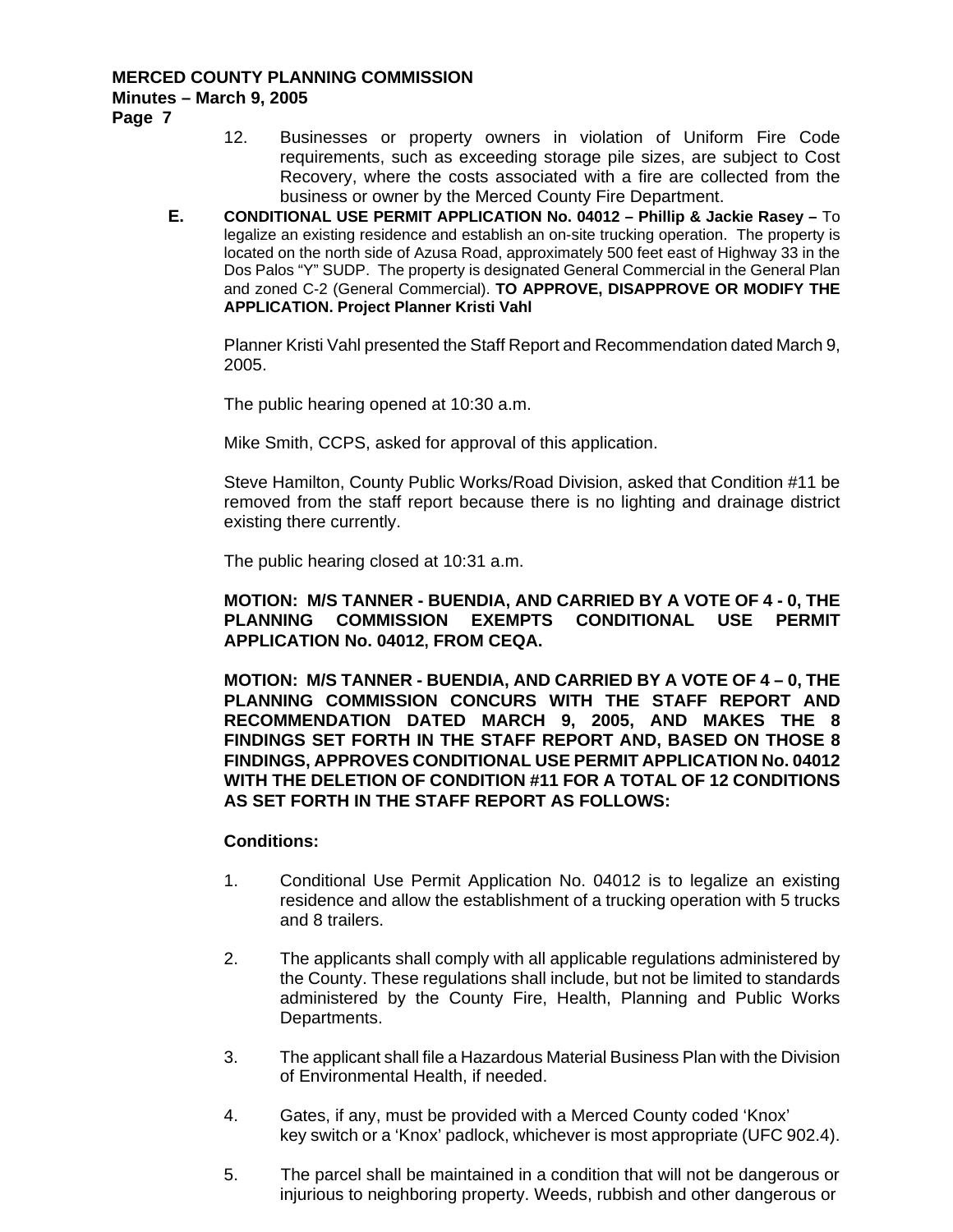**Page 7** 

- 12. Businesses or property owners in violation of Uniform Fire Code requirements, such as exceeding storage pile sizes, are subject to Cost Recovery, where the costs associated with a fire are collected from the business or owner by the Merced County Fire Department.
- **E. CONDITIONAL USE PERMIT APPLICATION No. 04012 Phillip & Jackie Rasey –** To legalize an existing residence and establish an on-site trucking operation. The property is located on the north side of Azusa Road, approximately 500 feet east of Highway 33 in the Dos Palos "Y" SUDP. The property is designated General Commercial in the General Plan and zoned C-2 (General Commercial). **TO APPROVE, DISAPPROVE OR MODIFY THE APPLICATION. Project Planner Kristi Vahl**

Planner Kristi Vahl presented the Staff Report and Recommendation dated March 9, 2005.

The public hearing opened at 10:30 a.m.

Mike Smith, CCPS, asked for approval of this application.

Steve Hamilton, County Public Works/Road Division, asked that Condition #11 be removed from the staff report because there is no lighting and drainage district existing there currently.

The public hearing closed at 10:31 a.m.

**MOTION: M/S TANNER - BUENDIA, AND CARRIED BY A VOTE OF 4 - 0, THE PLANNING COMMISSION EXEMPTS CONDITIONAL USE PERMIT APPLICATION No. 04012, FROM CEQA.** 

**MOTION: M/S TANNER - BUENDIA, AND CARRIED BY A VOTE OF 4 – 0, THE PLANNING COMMISSION CONCURS WITH THE STAFF REPORT AND RECOMMENDATION DATED MARCH 9, 2005, AND MAKES THE 8 FINDINGS SET FORTH IN THE STAFF REPORT AND, BASED ON THOSE 8 FINDINGS, APPROVES CONDITIONAL USE PERMIT APPLICATION No. 04012 WITH THE DELETION OF CONDITION #11 FOR A TOTAL OF 12 CONDITIONS AS SET FORTH IN THE STAFF REPORT AS FOLLOWS:** 

- 1. Conditional Use Permit Application No. 04012 is to legalize an existing residence and allow the establishment of a trucking operation with 5 trucks and 8 trailers.
- 2. The applicants shall comply with all applicable regulations administered by the County. These regulations shall include, but not be limited to standards administered by the County Fire, Health, Planning and Public Works Departments.
- 3. The applicant shall file a Hazardous Material Business Plan with the Division of Environmental Health, if needed.
- 4. Gates, if any, must be provided with a Merced County coded 'Knox' key switch or a 'Knox' padlock, whichever is most appropriate (UFC 902.4).
- 5. The parcel shall be maintained in a condition that will not be dangerous or injurious to neighboring property. Weeds, rubbish and other dangerous or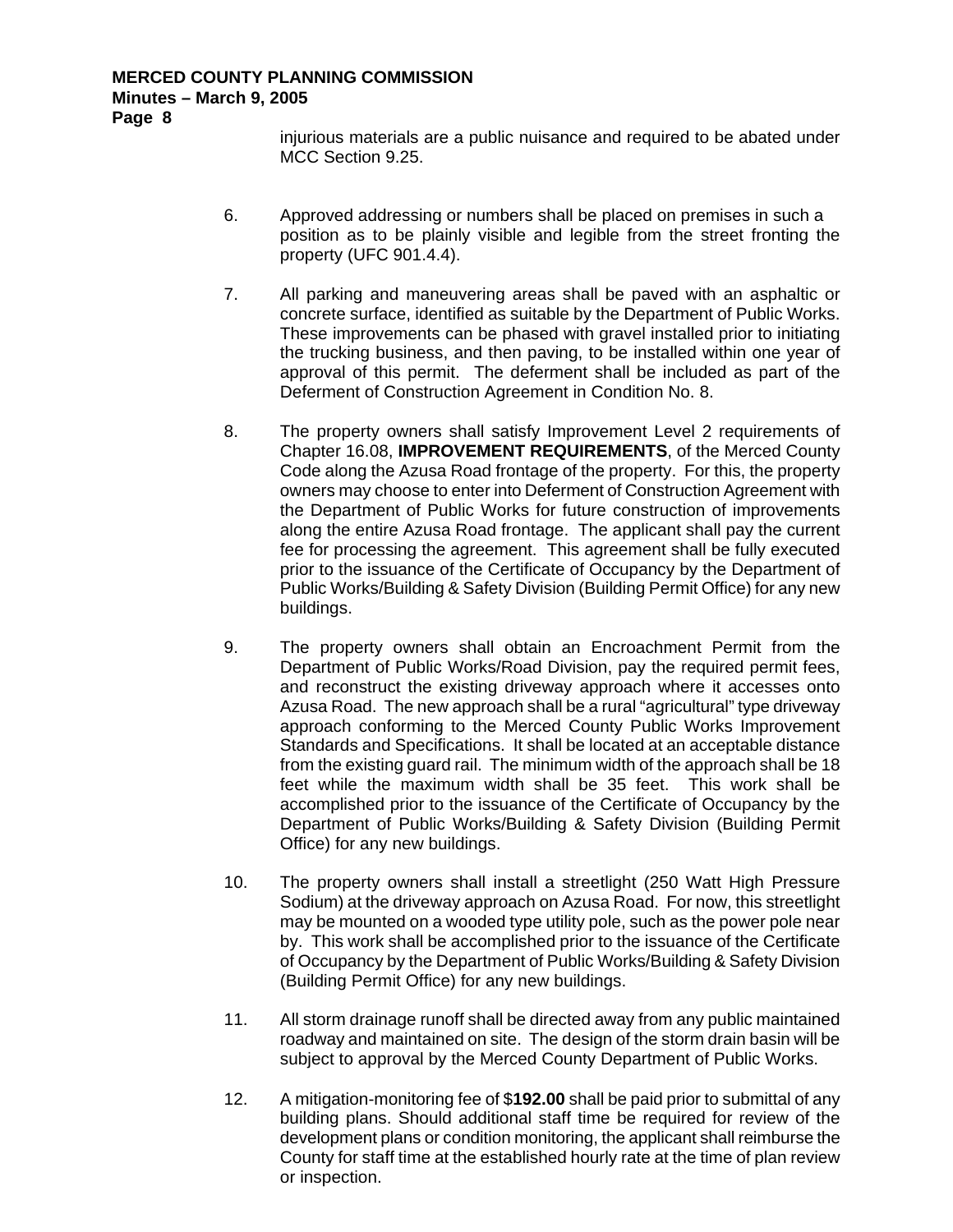injurious materials are a public nuisance and required to be abated under MCC Section 9.25.

- 6. Approved addressing or numbers shall be placed on premises in such a position as to be plainly visible and legible from the street fronting the property (UFC 901.4.4).
- 7. All parking and maneuvering areas shall be paved with an asphaltic or concrete surface, identified as suitable by the Department of Public Works. These improvements can be phased with gravel installed prior to initiating the trucking business, and then paving, to be installed within one year of approval of this permit. The deferment shall be included as part of the Deferment of Construction Agreement in Condition No. 8.
- 8. The property owners shall satisfy Improvement Level 2 requirements of Chapter 16.08, **IMPROVEMENT REQUIREMENTS**, of the Merced County Code along the Azusa Road frontage of the property. For this, the property owners may choose to enter into Deferment of Construction Agreement with the Department of Public Works for future construction of improvements along the entire Azusa Road frontage. The applicant shall pay the current fee for processing the agreement. This agreement shall be fully executed prior to the issuance of the Certificate of Occupancy by the Department of Public Works/Building & Safety Division (Building Permit Office) for any new buildings.
- 9. The property owners shall obtain an Encroachment Permit from the Department of Public Works/Road Division, pay the required permit fees, and reconstruct the existing driveway approach where it accesses onto Azusa Road. The new approach shall be a rural "agricultural" type driveway approach conforming to the Merced County Public Works Improvement Standards and Specifications. It shall be located at an acceptable distance from the existing guard rail. The minimum width of the approach shall be 18 feet while the maximum width shall be 35 feet. This work shall be accomplished prior to the issuance of the Certificate of Occupancy by the Department of Public Works/Building & Safety Division (Building Permit Office) for any new buildings.
- 10. The property owners shall install a streetlight (250 Watt High Pressure Sodium) at the driveway approach on Azusa Road. For now, this streetlight may be mounted on a wooded type utility pole, such as the power pole near by. This work shall be accomplished prior to the issuance of the Certificate of Occupancy by the Department of Public Works/Building & Safety Division (Building Permit Office) for any new buildings.
- 11. All storm drainage runoff shall be directed away from any public maintained roadway and maintained on site. The design of the storm drain basin will be subject to approval by the Merced County Department of Public Works.
- 12. A mitigation-monitoring fee of \$**192.00** shall be paid prior to submittal of any building plans. Should additional staff time be required for review of the development plans or condition monitoring, the applicant shall reimburse the County for staff time at the established hourly rate at the time of plan review or inspection.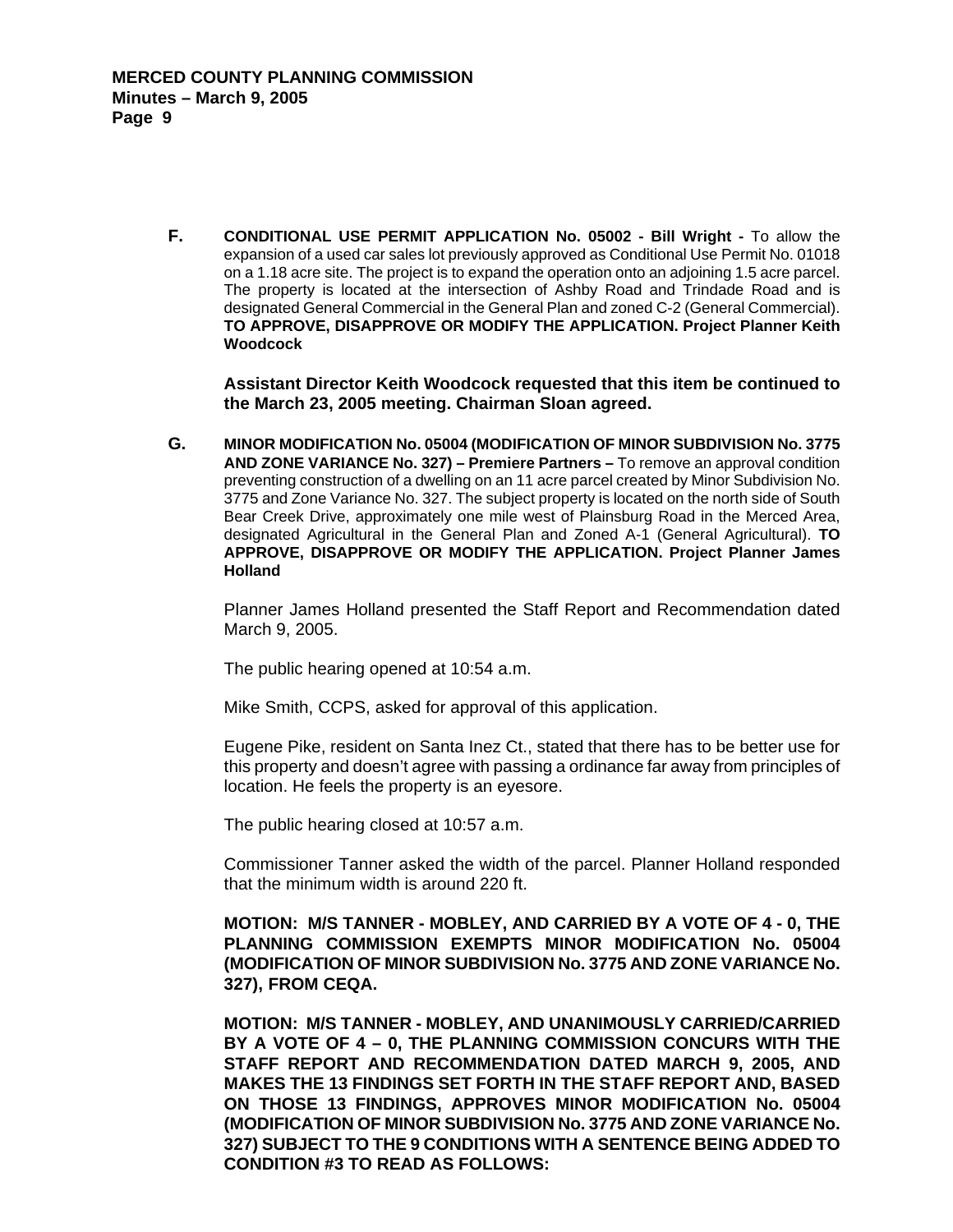**F. CONDITIONAL USE PERMIT APPLICATION No. 05002 - Bill Wright -** To allow the expansion of a used car sales lot previously approved as Conditional Use Permit No. 01018 on a 1.18 acre site. The project is to expand the operation onto an adjoining 1.5 acre parcel. The property is located at the intersection of Ashby Road and Trindade Road and is designated General Commercial in the General Plan and zoned C-2 (General Commercial). **TO APPROVE, DISAPPROVE OR MODIFY THE APPLICATION. Project Planner Keith Woodcock** 

**Assistant Director Keith Woodcock requested that this item be continued to the March 23, 2005 meeting. Chairman Sloan agreed.** 

**G. MINOR MODIFICATION No. 05004 (MODIFICATION OF MINOR SUBDIVISION No. 3775 AND ZONE VARIANCE No. 327) – Premiere Partners –** To remove an approval condition preventing construction of a dwelling on an 11 acre parcel created by Minor Subdivision No. 3775 and Zone Variance No. 327. The subject property is located on the north side of South Bear Creek Drive, approximately one mile west of Plainsburg Road in the Merced Area, designated Agricultural in the General Plan and Zoned A-1 (General Agricultural). **TO APPROVE, DISAPPROVE OR MODIFY THE APPLICATION. Project Planner James Holland** 

Planner James Holland presented the Staff Report and Recommendation dated March 9, 2005.

The public hearing opened at 10:54 a.m.

Mike Smith, CCPS, asked for approval of this application.

Eugene Pike, resident on Santa Inez Ct., stated that there has to be better use for this property and doesn't agree with passing a ordinance far away from principles of location. He feels the property is an eyesore.

The public hearing closed at 10:57 a.m.

Commissioner Tanner asked the width of the parcel. Planner Holland responded that the minimum width is around 220 ft.

**MOTION: M/S TANNER - MOBLEY, AND CARRIED BY A VOTE OF 4 - 0, THE PLANNING COMMISSION EXEMPTS MINOR MODIFICATION No. 05004 (MODIFICATION OF MINOR SUBDIVISION No. 3775 AND ZONE VARIANCE No. 327), FROM CEQA.** 

**MOTION: M/S TANNER - MOBLEY, AND UNANIMOUSLY CARRIED/CARRIED BY A VOTE OF 4 – 0, THE PLANNING COMMISSION CONCURS WITH THE STAFF REPORT AND RECOMMENDATION DATED MARCH 9, 2005, AND MAKES THE 13 FINDINGS SET FORTH IN THE STAFF REPORT AND, BASED ON THOSE 13 FINDINGS, APPROVES MINOR MODIFICATION No. 05004 (MODIFICATION OF MINOR SUBDIVISION No. 3775 AND ZONE VARIANCE No. 327) SUBJECT TO THE 9 CONDITIONS WITH A SENTENCE BEING ADDED TO CONDITION #3 TO READ AS FOLLOWS:**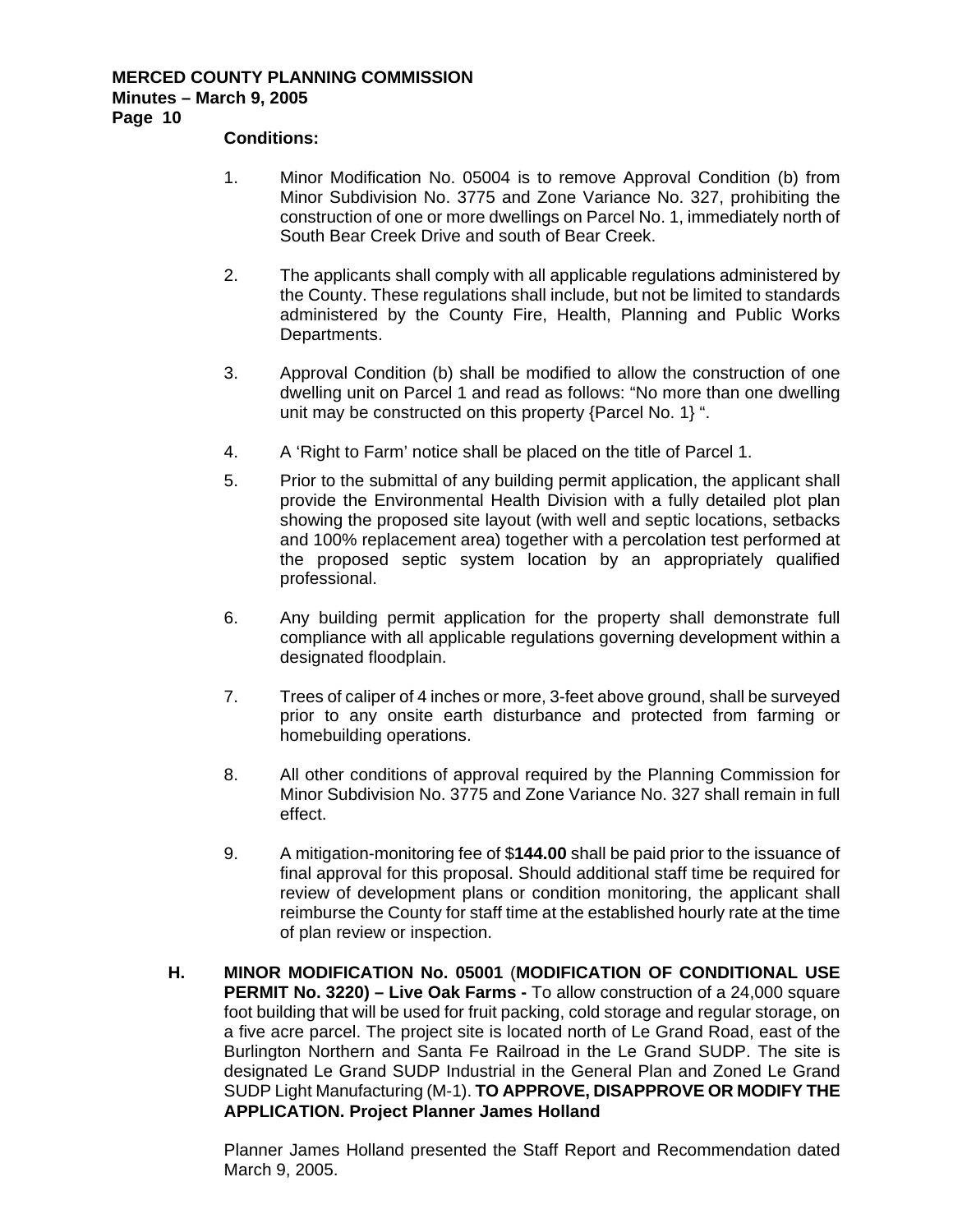#### **Conditions:**

- 1. Minor Modification No. 05004 is to remove Approval Condition (b) from Minor Subdivision No. 3775 and Zone Variance No. 327, prohibiting the construction of one or more dwellings on Parcel No. 1, immediately north of South Bear Creek Drive and south of Bear Creek.
- 2. The applicants shall comply with all applicable regulations administered by the County. These regulations shall include, but not be limited to standards administered by the County Fire, Health, Planning and Public Works Departments.
- 3. Approval Condition (b) shall be modified to allow the construction of one dwelling unit on Parcel 1 and read as follows: "No more than one dwelling unit may be constructed on this property {Parcel No. 1} ".
- 4. A 'Right to Farm' notice shall be placed on the title of Parcel 1.
- 5. Prior to the submittal of any building permit application, the applicant shall provide the Environmental Health Division with a fully detailed plot plan showing the proposed site layout (with well and septic locations, setbacks and 100% replacement area) together with a percolation test performed at the proposed septic system location by an appropriately qualified professional.
- 6. Any building permit application for the property shall demonstrate full compliance with all applicable regulations governing development within a designated floodplain.
- 7. Trees of caliper of 4 inches or more, 3-feet above ground, shall be surveyed prior to any onsite earth disturbance and protected from farming or homebuilding operations.
- 8. All other conditions of approval required by the Planning Commission for Minor Subdivision No. 3775 and Zone Variance No. 327 shall remain in full effect.
- 9. A mitigation-monitoring fee of \$**144.00** shall be paid prior to the issuance of final approval for this proposal. Should additional staff time be required for review of development plans or condition monitoring, the applicant shall reimburse the County for staff time at the established hourly rate at the time of plan review or inspection.
- **H. MINOR MODIFICATION No. 05001** (**MODIFICATION OF CONDITIONAL USE PERMIT No. 3220) – Live Oak Farms -** To allow construction of a 24,000 square foot building that will be used for fruit packing, cold storage and regular storage, on a five acre parcel. The project site is located north of Le Grand Road, east of the Burlington Northern and Santa Fe Railroad in the Le Grand SUDP. The site is designated Le Grand SUDP Industrial in the General Plan and Zoned Le Grand SUDP Light Manufacturing (M-1). **TO APPROVE, DISAPPROVE OR MODIFY THE APPLICATION. Project Planner James Holland**

Planner James Holland presented the Staff Report and Recommendation dated March 9, 2005.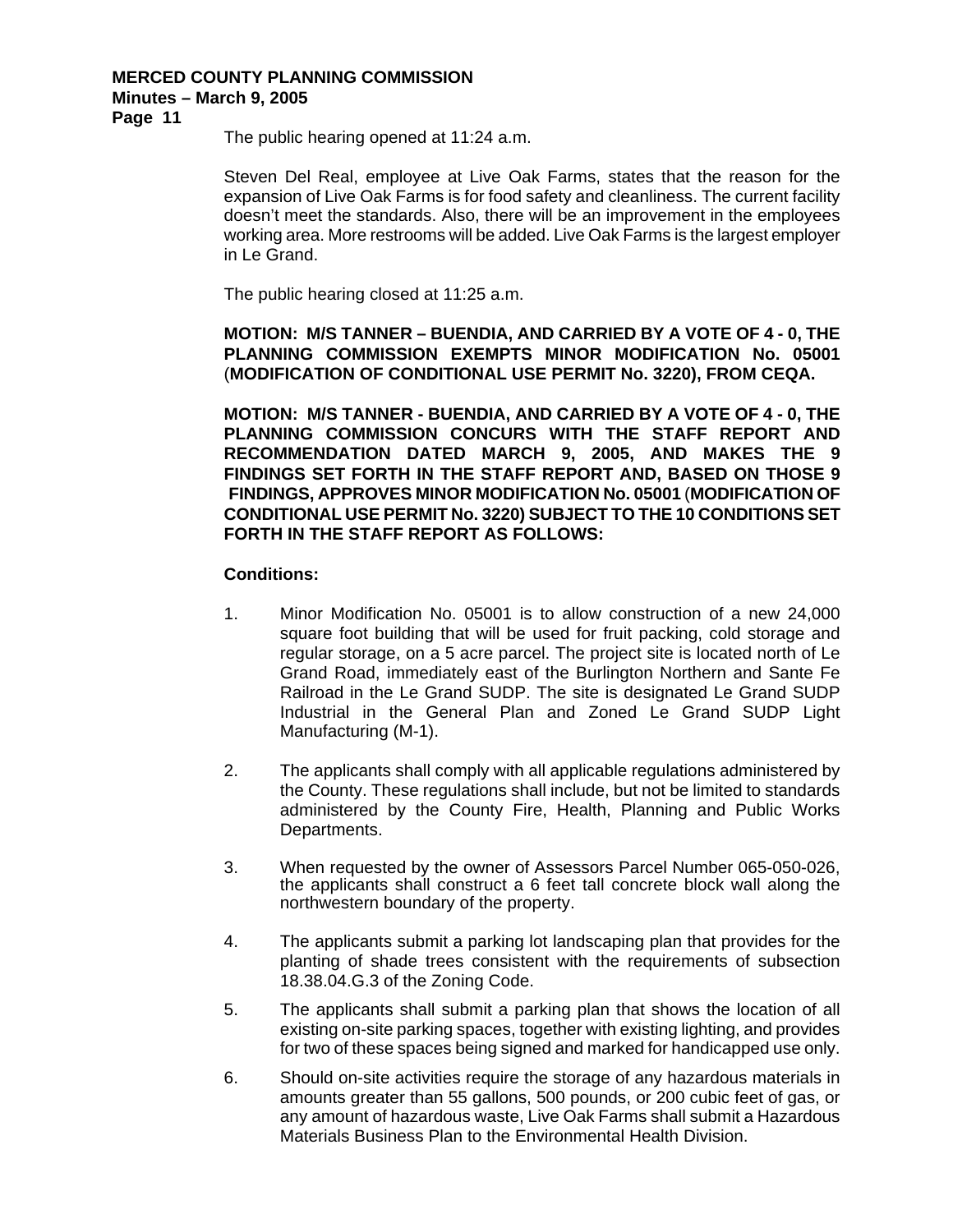**Page 11** 

The public hearing opened at 11:24 a.m.

Steven Del Real, employee at Live Oak Farms, states that the reason for the expansion of Live Oak Farms is for food safety and cleanliness. The current facility doesn't meet the standards. Also, there will be an improvement in the employees working area. More restrooms will be added. Live Oak Farms is the largest employer in Le Grand.

The public hearing closed at 11:25 a.m.

**MOTION: M/S TANNER – BUENDIA, AND CARRIED BY A VOTE OF 4 - 0, THE PLANNING COMMISSION EXEMPTS MINOR MODIFICATION No. 05001** (**MODIFICATION OF CONDITIONAL USE PERMIT No. 3220), FROM CEQA.** 

**MOTION: M/S TANNER - BUENDIA, AND CARRIED BY A VOTE OF 4 - 0, THE PLANNING COMMISSION CONCURS WITH THE STAFF REPORT AND RECOMMENDATION DATED MARCH 9, 2005, AND MAKES THE 9 FINDINGS SET FORTH IN THE STAFF REPORT AND, BASED ON THOSE 9 FINDINGS, APPROVES MINOR MODIFICATION No. 05001** (**MODIFICATION OF CONDITIONAL USE PERMIT No. 3220) SUBJECT TO THE 10 CONDITIONS SET FORTH IN THE STAFF REPORT AS FOLLOWS:** 

- 1. Minor Modification No. 05001 is to allow construction of a new 24,000 square foot building that will be used for fruit packing, cold storage and regular storage, on a 5 acre parcel. The project site is located north of Le Grand Road, immediately east of the Burlington Northern and Sante Fe Railroad in the Le Grand SUDP. The site is designated Le Grand SUDP Industrial in the General Plan and Zoned Le Grand SUDP Light Manufacturing (M-1).
- 2. The applicants shall comply with all applicable regulations administered by the County. These regulations shall include, but not be limited to standards administered by the County Fire, Health, Planning and Public Works Departments.
- 3. When requested by the owner of Assessors Parcel Number 065-050-026, the applicants shall construct a 6 feet tall concrete block wall along the northwestern boundary of the property.
- 4. The applicants submit a parking lot landscaping plan that provides for the planting of shade trees consistent with the requirements of subsection 18.38.04.G.3 of the Zoning Code.
- 5. The applicants shall submit a parking plan that shows the location of all existing on-site parking spaces, together with existing lighting, and provides for two of these spaces being signed and marked for handicapped use only.
- 6. Should on-site activities require the storage of any hazardous materials in amounts greater than 55 gallons, 500 pounds, or 200 cubic feet of gas, or any amount of hazardous waste, Live Oak Farms shall submit a Hazardous Materials Business Plan to the Environmental Health Division.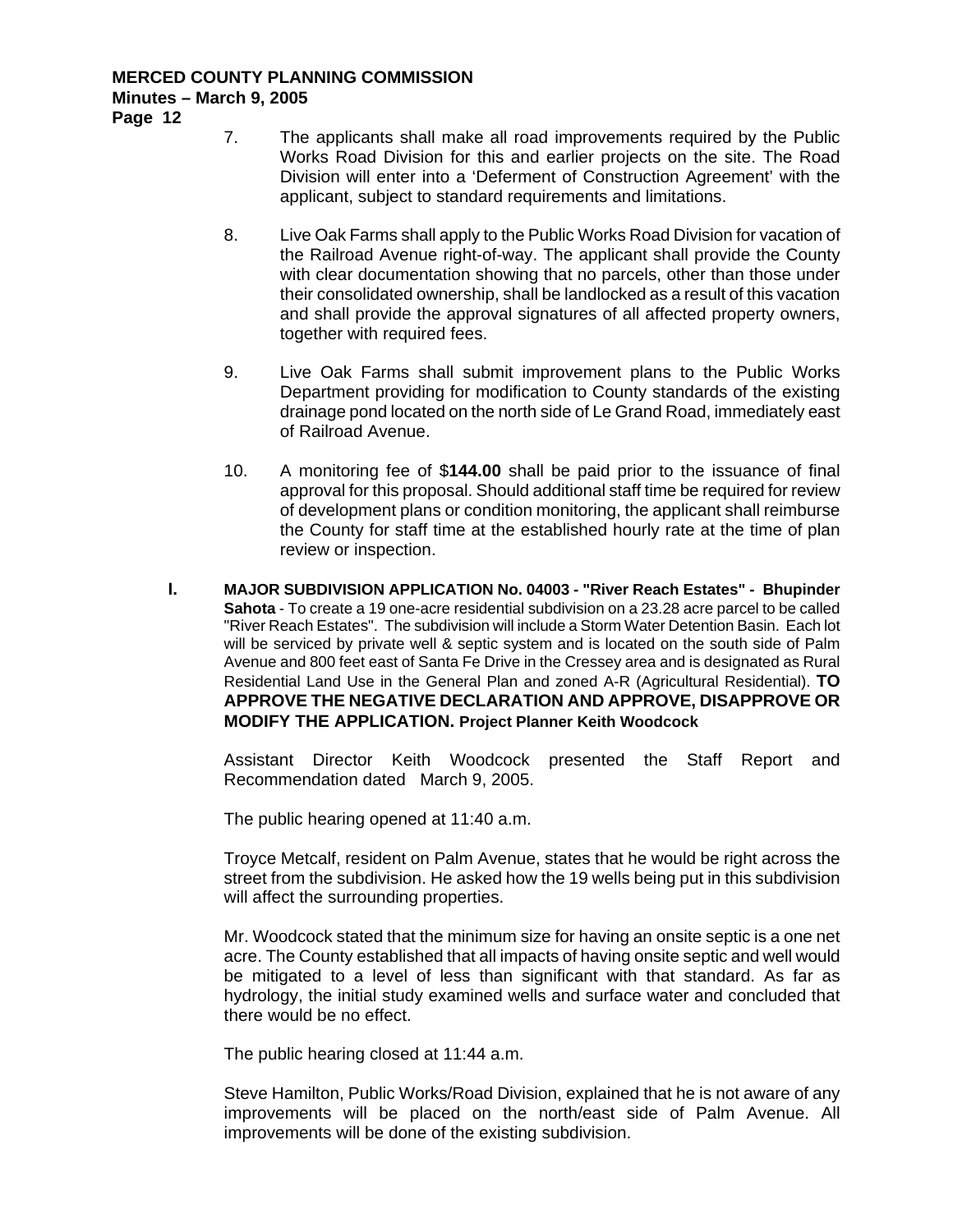**Page 12** 

- 7. The applicants shall make all road improvements required by the Public Works Road Division for this and earlier projects on the site. The Road Division will enter into a 'Deferment of Construction Agreement' with the applicant, subject to standard requirements and limitations.
- 8. Live Oak Farms shall apply to the Public Works Road Division for vacation of the Railroad Avenue right-of-way. The applicant shall provide the County with clear documentation showing that no parcels, other than those under their consolidated ownership, shall be landlocked as a result of this vacation and shall provide the approval signatures of all affected property owners, together with required fees.
- 9. Live Oak Farms shall submit improvement plans to the Public Works Department providing for modification to County standards of the existing drainage pond located on the north side of Le Grand Road, immediately east of Railroad Avenue.
- 10. A monitoring fee of \$**144.00** shall be paid prior to the issuance of final approval for this proposal. Should additional staff time be required for review of development plans or condition monitoring, the applicant shall reimburse the County for staff time at the established hourly rate at the time of plan review or inspection.
- **I. MAJOR SUBDIVISION APPLICATION No. 04003 "River Reach Estates" Bhupinder Sahota** - To create a 19 one-acre residential subdivision on a 23.28 acre parcel to be called "River Reach Estates". The subdivision will include a Storm Water Detention Basin. Each lot will be serviced by private well & septic system and is located on the south side of Palm Avenue and 800 feet east of Santa Fe Drive in the Cressey area and is designated as Rural Residential Land Use in the General Plan and zoned A-R (Agricultural Residential). **TO APPROVE THE NEGATIVE DECLARATION AND APPROVE, DISAPPROVE OR MODIFY THE APPLICATION. Project Planner Keith Woodcock**

Assistant Director Keith Woodcock presented the Staff Report and Recommendation dated March 9, 2005.

The public hearing opened at 11:40 a.m.

Troyce Metcalf, resident on Palm Avenue, states that he would be right across the street from the subdivision. He asked how the 19 wells being put in this subdivision will affect the surrounding properties.

Mr. Woodcock stated that the minimum size for having an onsite septic is a one net acre. The County established that all impacts of having onsite septic and well would be mitigated to a level of less than significant with that standard. As far as hydrology, the initial study examined wells and surface water and concluded that there would be no effect.

The public hearing closed at 11:44 a.m.

Steve Hamilton, Public Works/Road Division, explained that he is not aware of any improvements will be placed on the north/east side of Palm Avenue. All improvements will be done of the existing subdivision.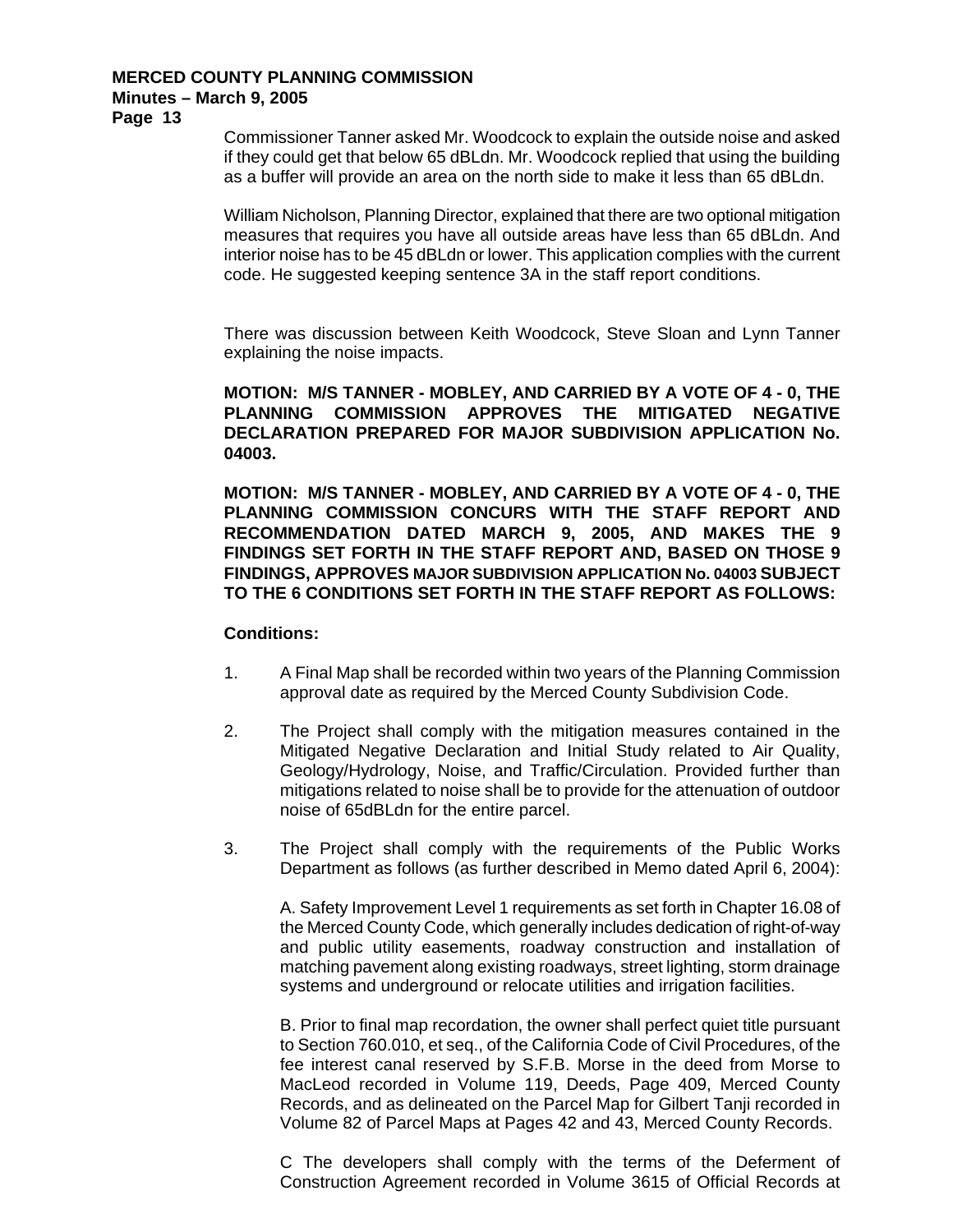**Page 13** 

Commissioner Tanner asked Mr. Woodcock to explain the outside noise and asked if they could get that below 65 dBLdn. Mr. Woodcock replied that using the building as a buffer will provide an area on the north side to make it less than 65 dBLdn.

William Nicholson, Planning Director, explained that there are two optional mitigation measures that requires you have all outside areas have less than 65 dBLdn. And interior noise has to be 45 dBLdn or lower. This application complies with the current code. He suggested keeping sentence 3A in the staff report conditions.

There was discussion between Keith Woodcock, Steve Sloan and Lynn Tanner explaining the noise impacts.

**MOTION: M/S TANNER - MOBLEY, AND CARRIED BY A VOTE OF 4 - 0, THE PLANNING COMMISSION APPROVES THE MITIGATED NEGATIVE DECLARATION PREPARED FOR MAJOR SUBDIVISION APPLICATION No. 04003.** 

**MOTION: M/S TANNER - MOBLEY, AND CARRIED BY A VOTE OF 4 - 0, THE PLANNING COMMISSION CONCURS WITH THE STAFF REPORT AND RECOMMENDATION DATED MARCH 9, 2005, AND MAKES THE 9 FINDINGS SET FORTH IN THE STAFF REPORT AND, BASED ON THOSE 9 FINDINGS, APPROVES MAJOR SUBDIVISION APPLICATION No. 04003 SUBJECT TO THE 6 CONDITIONS SET FORTH IN THE STAFF REPORT AS FOLLOWS:** 

#### **Conditions:**

- 1. A Final Map shall be recorded within two years of the Planning Commission approval date as required by the Merced County Subdivision Code.
- 2. The Project shall comply with the mitigation measures contained in the Mitigated Negative Declaration and Initial Study related to Air Quality, Geology/Hydrology, Noise, and Traffic/Circulation. Provided further than mitigations related to noise shall be to provide for the attenuation of outdoor noise of 65dBLdn for the entire parcel.
- 3. The Project shall comply with the requirements of the Public Works Department as follows (as further described in Memo dated April 6, 2004):

A. Safety Improvement Level 1 requirements as set forth in Chapter 16.08 of the Merced County Code, which generally includes dedication of right-of-way and public utility easements, roadway construction and installation of matching pavement along existing roadways, street lighting, storm drainage systems and underground or relocate utilities and irrigation facilities.

B. Prior to final map recordation, the owner shall perfect quiet title pursuant to Section 760.010, et seq., of the California Code of Civil Procedures, of the fee interest canal reserved by S.F.B. Morse in the deed from Morse to MacLeod recorded in Volume 119, Deeds, Page 409, Merced County Records, and as delineated on the Parcel Map for Gilbert Tanji recorded in Volume 82 of Parcel Maps at Pages 42 and 43, Merced County Records.

C The developers shall comply with the terms of the Deferment of Construction Agreement recorded in Volume 3615 of Official Records at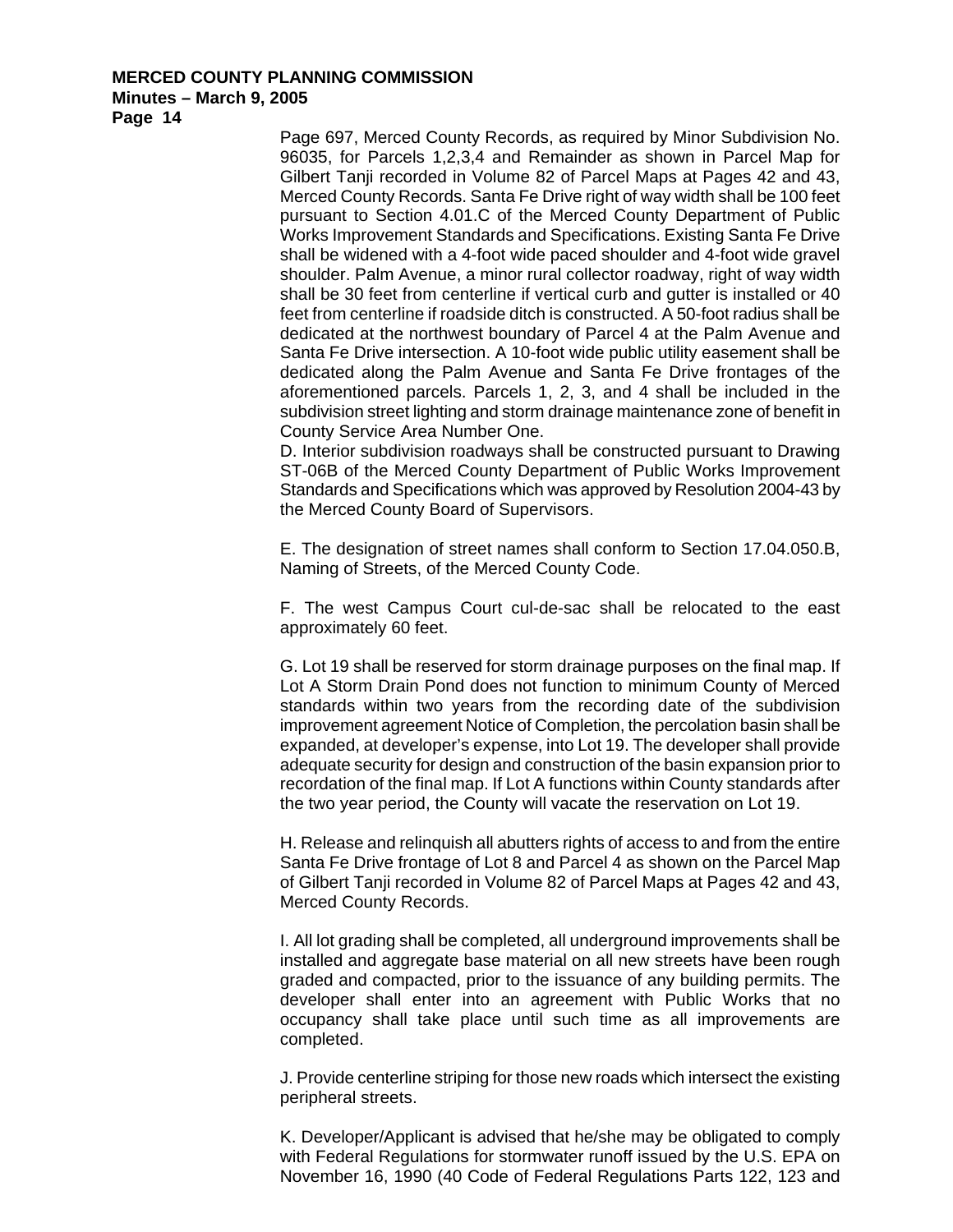**Page 14** 

Page 697, Merced County Records, as required by Minor Subdivision No. 96035, for Parcels 1,2,3,4 and Remainder as shown in Parcel Map for Gilbert Tanji recorded in Volume 82 of Parcel Maps at Pages 42 and 43, Merced County Records. Santa Fe Drive right of way width shall be 100 feet pursuant to Section 4.01.C of the Merced County Department of Public Works Improvement Standards and Specifications. Existing Santa Fe Drive shall be widened with a 4-foot wide paced shoulder and 4-foot wide gravel shoulder. Palm Avenue, a minor rural collector roadway, right of way width shall be 30 feet from centerline if vertical curb and gutter is installed or 40 feet from centerline if roadside ditch is constructed. A 50-foot radius shall be dedicated at the northwest boundary of Parcel 4 at the Palm Avenue and Santa Fe Drive intersection. A 10-foot wide public utility easement shall be dedicated along the Palm Avenue and Santa Fe Drive frontages of the aforementioned parcels. Parcels 1, 2, 3, and 4 shall be included in the subdivision street lighting and storm drainage maintenance zone of benefit in County Service Area Number One.

D. Interior subdivision roadways shall be constructed pursuant to Drawing ST-06B of the Merced County Department of Public Works Improvement Standards and Specifications which was approved by Resolution 2004-43 by the Merced County Board of Supervisors.

E. The designation of street names shall conform to Section 17.04.050.B, Naming of Streets, of the Merced County Code.

F. The west Campus Court cul-de-sac shall be relocated to the east approximately 60 feet.

G. Lot 19 shall be reserved for storm drainage purposes on the final map. If Lot A Storm Drain Pond does not function to minimum County of Merced standards within two years from the recording date of the subdivision improvement agreement Notice of Completion, the percolation basin shall be expanded, at developer's expense, into Lot 19. The developer shall provide adequate security for design and construction of the basin expansion prior to recordation of the final map. If Lot A functions within County standards after the two year period, the County will vacate the reservation on Lot 19.

H. Release and relinquish all abutters rights of access to and from the entire Santa Fe Drive frontage of Lot 8 and Parcel 4 as shown on the Parcel Map of Gilbert Tanji recorded in Volume 82 of Parcel Maps at Pages 42 and 43, Merced County Records.

I. All lot grading shall be completed, all underground improvements shall be installed and aggregate base material on all new streets have been rough graded and compacted, prior to the issuance of any building permits. The developer shall enter into an agreement with Public Works that no occupancy shall take place until such time as all improvements are completed.

J. Provide centerline striping for those new roads which intersect the existing peripheral streets.

K. Developer/Applicant is advised that he/she may be obligated to comply with Federal Regulations for stormwater runoff issued by the U.S. EPA on November 16, 1990 (40 Code of Federal Regulations Parts 122, 123 and